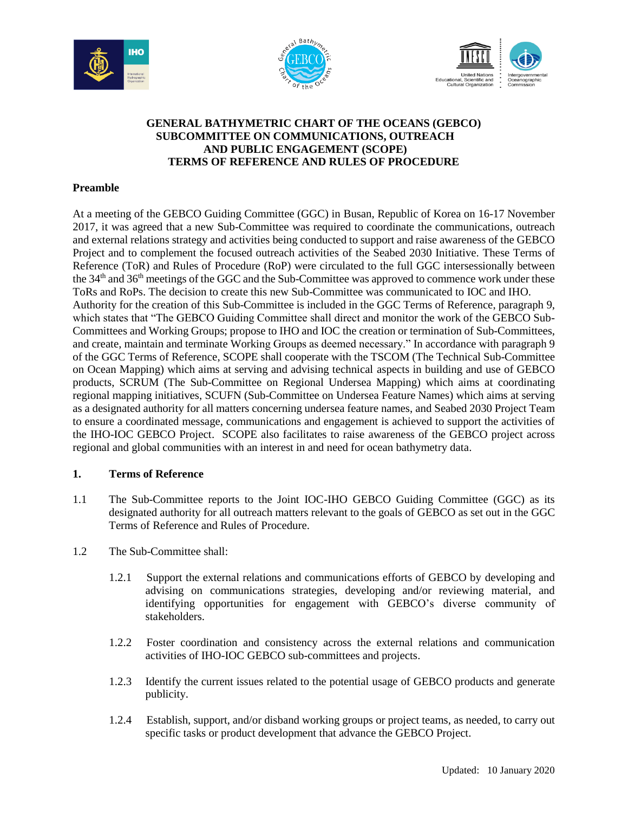





## **GENERAL BATHYMETRIC CHART OF THE OCEANS (GEBCO) SUBCOMMITTEE ON COMMUNICATIONS, OUTREACH AND PUBLIC ENGAGEMENT (SCOPE) TERMS OF REFERENCE AND RULES OF PROCEDURE**

## **Preamble**

At a meeting of the GEBCO Guiding Committee (GGC) in Busan, Republic of Korea on 16-17 November 2017, it was agreed that a new Sub-Committee was required to coordinate the communications, outreach and external relations strategy and activities being conducted to support and raise awareness of the GEBCO Project and to complement the focused outreach activities of the Seabed 2030 Initiative. These Terms of Reference (ToR) and Rules of Procedure (RoP) were circulated to the full GGC intersessionally between the  $34<sup>th</sup>$  and  $36<sup>th</sup>$  meetings of the GGC and the Sub-Committee was approved to commence work under these ToRs and RoPs. The decision to create this new Sub-Committee was communicated to IOC and IHO. Authority for the creation of this Sub-Committee is included in the GGC Terms of Reference, paragraph 9, which states that "The GEBCO Guiding Committee shall direct and monitor the work of the GEBCO Sub-Committees and Working Groups; propose to IHO and IOC the creation or termination of Sub-Committees, and create, maintain and terminate Working Groups as deemed necessary." In accordance with paragraph 9 of the GGC Terms of Reference, SCOPE shall cooperate with the TSCOM (The Technical Sub-Committee on Ocean Mapping) which aims at serving and advising technical aspects in building and use of GEBCO products, SCRUM (The Sub-Committee on Regional Undersea Mapping) which aims at coordinating regional mapping initiatives, SCUFN (Sub-Committee on Undersea Feature Names) which aims at serving as a designated authority for all matters concerning undersea feature names, and Seabed 2030 Project Team to ensure a coordinated message, communications and engagement is achieved to support the activities of the IHO-IOC GEBCO Project. SCOPE also facilitates to raise awareness of the GEBCO project across regional and global communities with an interest in and need for ocean bathymetry data.

## **1. Terms of Reference**

- 1.1 The Sub-Committee reports to the Joint IOC-IHO GEBCO Guiding Committee (GGC) as its designated authority for all outreach matters relevant to the goals of GEBCO as set out in the GGC Terms of Reference and Rules of Procedure.
- 1.2 The Sub-Committee shall:
	- 1.2.1 Support the external relations and communications efforts of GEBCO by developing and advising on communications strategies, developing and/or reviewing material, and identifying opportunities for engagement with GEBCO's diverse community of stakeholders.
	- 1.2.2 Foster coordination and consistency across the external relations and communication activities of IHO-IOC GEBCO sub-committees and projects.
	- 1.2.3 Identify the current issues related to the potential usage of GEBCO products and generate publicity.
	- 1.2.4 Establish, support, and/or disband working groups or project teams, as needed, to carry out specific tasks or product development that advance the GEBCO Project.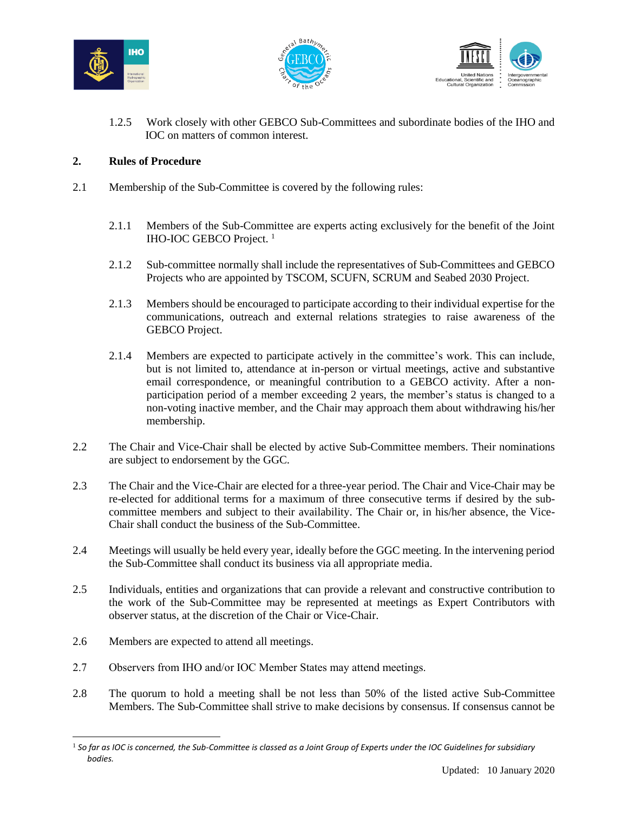





1.2.5 Work closely with other GEBCO Sub-Committees and subordinate bodies of the IHO and IOC on matters of common interest.

## **2. Rules of Procedure**

- 2.1 Membership of the Sub-Committee is covered by the following rules:
	- 2.1.1 Members of the Sub-Committee are experts acting exclusively for the benefit of the Joint IHO-IOC GEBCO Project.<sup>1</sup>
	- 2.1.2 Sub-committee normally shall include the representatives of Sub-Committees and GEBCO Projects who are appointed by TSCOM, SCUFN, SCRUM and Seabed 2030 Project.
	- 2.1.3 Members should be encouraged to participate according to their individual expertise for the communications, outreach and external relations strategies to raise awareness of the GEBCO Project.
	- 2.1.4 Members are expected to participate actively in the committee's work. This can include, but is not limited to, attendance at in-person or virtual meetings, active and substantive email correspondence, or meaningful contribution to a GEBCO activity. After a nonparticipation period of a member exceeding 2 years, the member's status is changed to a non-voting inactive member, and the Chair may approach them about withdrawing his/her membership.
- 2.2 The Chair and Vice-Chair shall be elected by active Sub-Committee members. Their nominations are subject to endorsement by the GGC.
- 2.3 The Chair and the Vice-Chair are elected for a three-year period. The Chair and Vice-Chair may be re-elected for additional terms for a maximum of three consecutive terms if desired by the subcommittee members and subject to their availability. The Chair or, in his/her absence, the Vice-Chair shall conduct the business of the Sub-Committee.
- 2.4 Meetings will usually be held every year, ideally before the GGC meeting. In the intervening period the Sub-Committee shall conduct its business via all appropriate media.
- 2.5 Individuals, entities and organizations that can provide a relevant and constructive contribution to the work of the Sub-Committee may be represented at meetings as Expert Contributors with observer status, at the discretion of the Chair or Vice-Chair.
- 2.6 Members are expected to attend all meetings.

 $\overline{a}$ 

- 2.7 Observers from IHO and/or IOC Member States may attend meetings.
- 2.8 The quorum to hold a meeting shall be not less than 50% of the listed active Sub-Committee Members. The Sub-Committee shall strive to make decisions by consensus. If consensus cannot be

<sup>1</sup> *So far as IOC is concerned, the Sub-Committee is classed as a Joint Group of Experts under the IOC Guidelines for subsidiary bodies.*